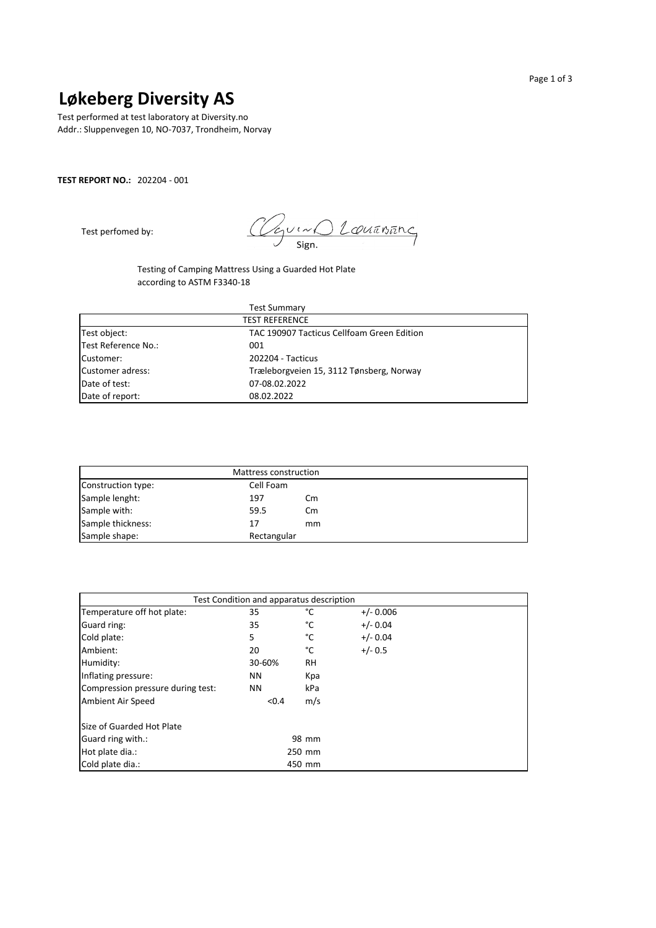## **Løkeberg Diversity AS**

Test performed at test laboratory at Diversity.no Addr.: Sluppenvegen 10, NO-7037, Trondheim, Norvay

### **TEST REPORT NO.:** 202204 - 001

Test perfomed by:

O Louanung lov Sign.

Testing of Camping Mattress Using a Guarded Hot Plate according to ASTM F3340-18

| <b>Test Summary</b><br><b>TEST REFERENCE</b> |                                          |  |  |  |
|----------------------------------------------|------------------------------------------|--|--|--|
|                                              |                                          |  |  |  |
| Test Reference No.:                          | 001                                      |  |  |  |
| Customer:                                    | 202204 - Tacticus                        |  |  |  |
| Customer adress:                             | Træleborgveien 15, 3112 Tønsberg, Norway |  |  |  |
| Date of test:                                | 07-08.02.2022                            |  |  |  |
| Date of report:                              | 08.02.2022                               |  |  |  |

|                    | Mattress construction |               |  |
|--------------------|-----------------------|---------------|--|
| Construction type: | Cell Foam             |               |  |
| Sample lenght:     | 197                   | $\mathsf{cm}$ |  |
| Sample with:       | 59.5                  | $\mathsf{cm}$ |  |
| Sample thickness:  | 17                    | mm            |  |
| Sample shape:      | Rectangular           |               |  |

| Test Condition and apparatus description |        |           |             |  |  |  |
|------------------------------------------|--------|-----------|-------------|--|--|--|
| Temperature off hot plate:               | 35     | °C        | $+/- 0.006$ |  |  |  |
| Guard ring:                              | 35     | °C        | $+/- 0.04$  |  |  |  |
| Cold plate:                              | 5      | °C        | $+/- 0.04$  |  |  |  |
| Ambient:                                 | 20     | °C        | $+/- 0.5$   |  |  |  |
| Humidity:                                | 30-60% | <b>RH</b> |             |  |  |  |
| Inflating pressure:                      | ΝN     | Kpa       |             |  |  |  |
| Compression pressure during test:        | ΝN     | kPa       |             |  |  |  |
| Ambient Air Speed                        | < 0.4  | m/s       |             |  |  |  |
| Size of Guarded Hot Plate                |        |           |             |  |  |  |
| Guard ring with.:                        |        | 98 mm     |             |  |  |  |
| Hot plate dia.:                          |        | 250 mm    |             |  |  |  |
| Cold plate dia.:                         |        | 450 mm    |             |  |  |  |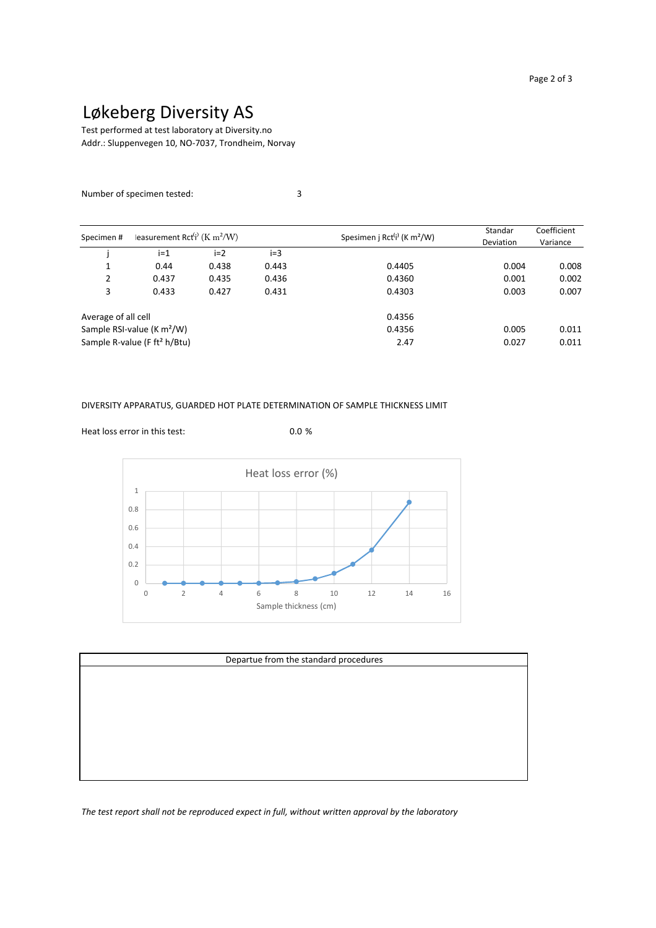# Løkeberg Diversity AS

Addr.: Sluppenvegen 10, NO-7037, Trondheim, Norvay Test performed at test laboratory at Diversity.no

### Number of specimen tested: 3

| easurement Rct <sup>(i)</sup> (K m <sup>2</sup> /W)<br>Specimen# |                                          |       |       | Standar                                             | Coefficient      |          |
|------------------------------------------------------------------|------------------------------------------|-------|-------|-----------------------------------------------------|------------------|----------|
|                                                                  |                                          |       |       | Spesimen j Rct <sup>(j)</sup> (K m <sup>2</sup> /W) | <b>Deviation</b> | Variance |
|                                                                  | $i=1$                                    | $i=2$ | $i=3$ |                                                     |                  |          |
| ┸                                                                | 0.44                                     | 0.438 | 0.443 | 0.4405                                              | 0.004            | 0.008    |
| 2                                                                | 0.437                                    | 0.435 | 0.436 | 0.4360                                              | 0.001            | 0.002    |
| 3                                                                | 0.433                                    | 0.427 | 0.431 | 0.4303                                              | 0.003            | 0.007    |
| Average of all cell                                              |                                          |       |       | 0.4356                                              |                  |          |
|                                                                  | Sample RSI-value ( $K m2/W$ )            |       |       | 0.4356                                              | 0.005            | 0.011    |
|                                                                  | Sample R-value (F ft <sup>2</sup> h/Btu) |       |       | 2.47                                                | 0.027            | 0.011    |

#### DIVERSITY APPARATUS, GUARDED HOT PLATE DETERMINATION OF SAMPLE THICKNESS LIMIT



| Departue from the standard procedures |  |  |  |  |  |  |
|---------------------------------------|--|--|--|--|--|--|
|                                       |  |  |  |  |  |  |
|                                       |  |  |  |  |  |  |
|                                       |  |  |  |  |  |  |
|                                       |  |  |  |  |  |  |
|                                       |  |  |  |  |  |  |
|                                       |  |  |  |  |  |  |
|                                       |  |  |  |  |  |  |

*The test report shall not be reproduced expect in full, without written approval by the laboratory*